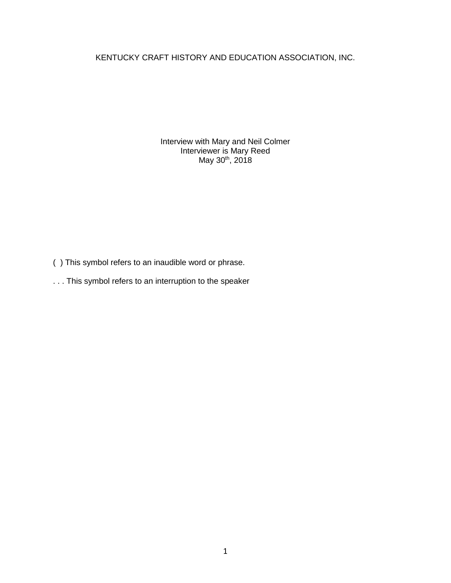KENTUCKY CRAFT HISTORY AND EDUCATION ASSOCIATION, INC.

Interview with Mary and Neil Colmer Interviewer is Mary Reed May 30<sup>th</sup>, 2018

- ( ) This symbol refers to an inaudible word or phrase.
- . . . This symbol refers to an interruption to the speaker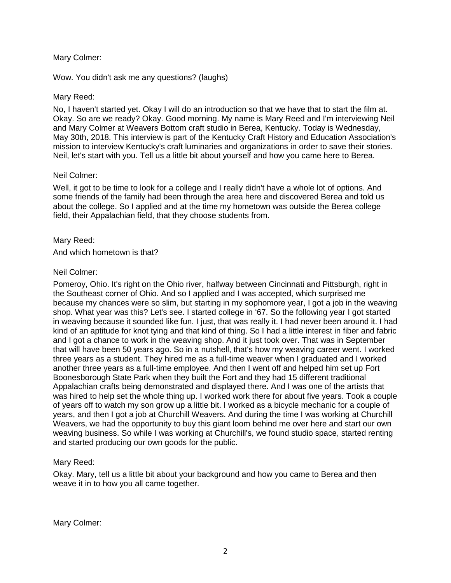# Mary Colmer:

Wow. You didn't ask me any questions? (laughs)

## Mary Reed:

No, I haven't started yet. Okay I will do an introduction so that we have that to start the film at. Okay. So are we ready? Okay. Good morning. My name is Mary Reed and I'm interviewing Neil and Mary Colmer at Weavers Bottom craft studio in Berea, Kentucky. Today is Wednesday, May 30th, 2018. This interview is part of the Kentucky Craft History and Education Association's mission to interview Kentucky's craft luminaries and organizations in order to save their stories. Neil, let's start with you. Tell us a little bit about yourself and how you came here to Berea.

## Neil Colmer:

Well, it got to be time to look for a college and I really didn't have a whole lot of options. And some friends of the family had been through the area here and discovered Berea and told us about the college. So I applied and at the time my hometown was outside the Berea college field, their Appalachian field, that they choose students from.

## Mary Reed:

And which hometown is that?

## Neil Colmer:

Pomeroy, Ohio. It's right on the Ohio river, halfway between Cincinnati and Pittsburgh, right in the Southeast corner of Ohio. And so I applied and I was accepted, which surprised me because my chances were so slim, but starting in my sophomore year, I got a job in the weaving shop. What year was this? Let's see. I started college in '67. So the following year I got started in weaving because it sounded like fun. I just, that was really it. I had never been around it. I had kind of an aptitude for knot tying and that kind of thing. So I had a little interest in fiber and fabric and I got a chance to work in the weaving shop. And it just took over. That was in September that will have been 50 years ago. So in a nutshell, that's how my weaving career went. I worked three years as a student. They hired me as a full-time weaver when I graduated and I worked another three years as a full-time employee. And then I went off and helped him set up Fort Boonesborough State Park when they built the Fort and they had 15 different traditional Appalachian crafts being demonstrated and displayed there. And I was one of the artists that was hired to help set the whole thing up. I worked work there for about five years. Took a couple of years off to watch my son grow up a little bit. I worked as a bicycle mechanic for a couple of years, and then I got a job at Churchill Weavers. And during the time I was working at Churchill Weavers, we had the opportunity to buy this giant loom behind me over here and start our own weaving business. So while I was working at Churchill's, we found studio space, started renting and started producing our own goods for the public.

# Mary Reed:

Okay. Mary, tell us a little bit about your background and how you came to Berea and then weave it in to how you all came together.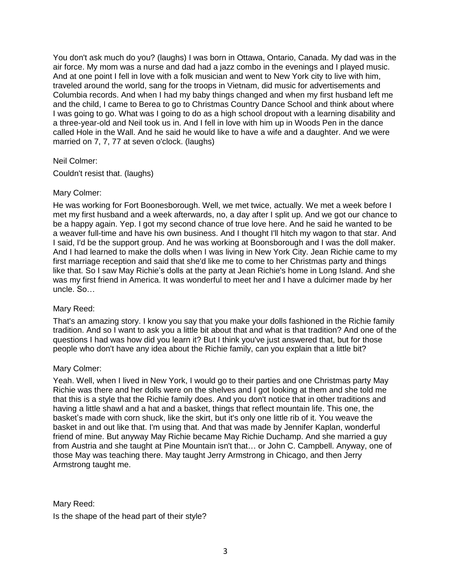You don't ask much do you? (laughs) I was born in Ottawa, Ontario, Canada. My dad was in the air force. My mom was a nurse and dad had a jazz combo in the evenings and I played music. And at one point I fell in love with a folk musician and went to New York city to live with him, traveled around the world, sang for the troops in Vietnam, did music for advertisements and Columbia records. And when I had my baby things changed and when my first husband left me and the child, I came to Berea to go to Christmas Country Dance School and think about where I was going to go. What was I going to do as a high school dropout with a learning disability and a three-year-old and Neil took us in. And I fell in love with him up in Woods Pen in the dance called Hole in the Wall. And he said he would like to have a wife and a daughter. And we were married on 7, 7, 77 at seven o'clock. (laughs)

# Neil Colmer:

Couldn't resist that. (laughs)

## Mary Colmer:

He was working for Fort Boonesborough. Well, we met twice, actually. We met a week before I met my first husband and a week afterwards, no, a day after I split up. And we got our chance to be a happy again. Yep. I got my second chance of true love here. And he said he wanted to be a weaver full-time and have his own business. And I thought I'll hitch my wagon to that star. And I said, I'd be the support group. And he was working at Boonsborough and I was the doll maker. And I had learned to make the dolls when I was living in New York City. Jean Richie came to my first marriage reception and said that she'd like me to come to her Christmas party and things like that. So I saw May Richie's dolls at the party at Jean Richie's home in Long Island. And she was my first friend in America. It was wonderful to meet her and I have a dulcimer made by her uncle. So…

# Mary Reed:

That's an amazing story. I know you say that you make your dolls fashioned in the Richie family tradition. And so I want to ask you a little bit about that and what is that tradition? And one of the questions I had was how did you learn it? But I think you've just answered that, but for those people who don't have any idea about the Richie family, can you explain that a little bit?

# Mary Colmer:

Yeah. Well, when I lived in New York, I would go to their parties and one Christmas party May Richie was there and her dolls were on the shelves and I got looking at them and she told me that this is a style that the Richie family does. And you don't notice that in other traditions and having a little shawl and a hat and a basket, things that reflect mountain life. This one, the basket's made with corn shuck, like the skirt, but it's only one little rib of it. You weave the basket in and out like that. I'm using that. And that was made by Jennifer Kaplan, wonderful friend of mine. But anyway May Richie became May Richie Duchamp. And she married a guy from Austria and she taught at Pine Mountain isn't that… or John C. Campbell. Anyway, one of those May was teaching there. May taught Jerry Armstrong in Chicago, and then Jerry Armstrong taught me.

Mary Reed:

Is the shape of the head part of their style?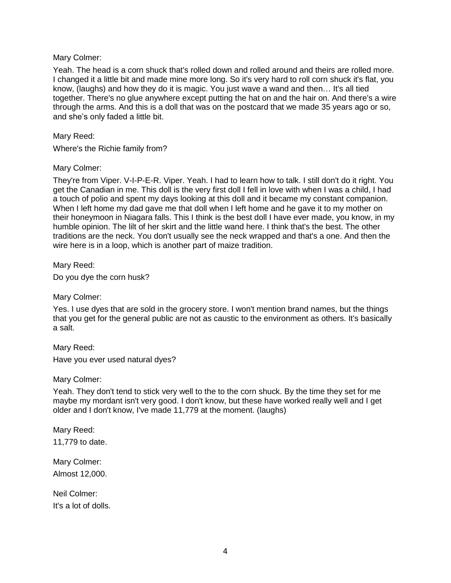## Mary Colmer:

Yeah. The head is a corn shuck that's rolled down and rolled around and theirs are rolled more. I changed it a little bit and made mine more long. So it's very hard to roll corn shuck it's flat, you know, (laughs) and how they do it is magic. You just wave a wand and then… It's all tied together. There's no glue anywhere except putting the hat on and the hair on. And there's a wire through the arms. And this is a doll that was on the postcard that we made 35 years ago or so, and she's only faded a little bit.

## Mary Reed:

Where's the Richie family from?

## Mary Colmer:

They're from Viper. V-I-P-E-R. Viper. Yeah. I had to learn how to talk. I still don't do it right. You get the Canadian in me. This doll is the very first doll I fell in love with when I was a child, I had a touch of polio and spent my days looking at this doll and it became my constant companion. When I left home my dad gave me that doll when I left home and he gave it to my mother on their honeymoon in Niagara falls. This I think is the best doll I have ever made, you know, in my humble opinion. The lilt of her skirt and the little wand here. I think that's the best. The other traditions are the neck. You don't usually see the neck wrapped and that's a one. And then the wire here is in a loop, which is another part of maize tradition.

Mary Reed:

Do you dye the corn husk?

Mary Colmer:

Yes. I use dyes that are sold in the grocery store. I won't mention brand names, but the things that you get for the general public are not as caustic to the environment as others. It's basically a salt.

Mary Reed:

Have you ever used natural dyes?

Mary Colmer:

Yeah. They don't tend to stick very well to the to the corn shuck. By the time they set for me maybe my mordant isn't very good. I don't know, but these have worked really well and I get older and I don't know, I've made 11,779 at the moment. (laughs)

Mary Reed: 11,779 to date.

Mary Colmer: Almost 12,000.

Neil Colmer: It's a lot of dolls.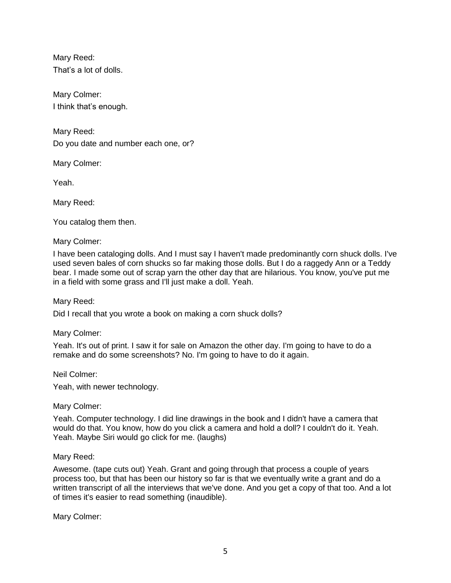Mary Reed: That's a lot of dolls.

Mary Colmer: I think that's enough.

Mary Reed: Do you date and number each one, or?

Mary Colmer:

Yeah.

Mary Reed:

You catalog them then.

Mary Colmer:

I have been cataloging dolls. And I must say I haven't made predominantly corn shuck dolls. I've used seven bales of corn shucks so far making those dolls. But I do a raggedy Ann or a Teddy bear. I made some out of scrap yarn the other day that are hilarious. You know, you've put me in a field with some grass and I'll just make a doll. Yeah.

Mary Reed:

Did I recall that you wrote a book on making a corn shuck dolls?

Mary Colmer:

Yeah. It's out of print. I saw it for sale on Amazon the other day. I'm going to have to do a remake and do some screenshots? No. I'm going to have to do it again.

Neil Colmer:

Yeah, with newer technology.

Mary Colmer:

Yeah. Computer technology. I did line drawings in the book and I didn't have a camera that would do that. You know, how do you click a camera and hold a doll? I couldn't do it. Yeah. Yeah. Maybe Siri would go click for me. (laughs)

Mary Reed:

Awesome. (tape cuts out) Yeah. Grant and going through that process a couple of years process too, but that has been our history so far is that we eventually write a grant and do a written transcript of all the interviews that we've done. And you get a copy of that too. And a lot of times it's easier to read something (inaudible).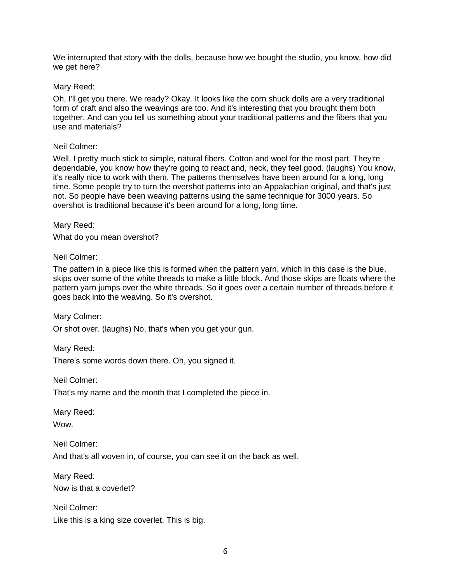We interrupted that story with the dolls, because how we bought the studio, you know, how did we get here?

## Mary Reed:

Oh, I'll get you there. We ready? Okay. It looks like the corn shuck dolls are a very traditional form of craft and also the weavings are too. And it's interesting that you brought them both together. And can you tell us something about your traditional patterns and the fibers that you use and materials?

#### Neil Colmer:

Well, I pretty much stick to simple, natural fibers. Cotton and wool for the most part. They're dependable, you know how they're going to react and, heck, they feel good. (laughs) You know, it's really nice to work with them. The patterns themselves have been around for a long, long time. Some people try to turn the overshot patterns into an Appalachian original, and that's just not. So people have been weaving patterns using the same technique for 3000 years. So overshot is traditional because it's been around for a long, long time.

Mary Reed:

What do you mean overshot?

# Neil Colmer:

The pattern in a piece like this is formed when the pattern yarn, which in this case is the blue, skips over some of the white threads to make a little block. And those skips are floats where the pattern yarn jumps over the white threads. So it goes over a certain number of threads before it goes back into the weaving. So it's overshot.

Mary Colmer:

Or shot over. (laughs) No, that's when you get your gun.

Mary Reed:

There's some words down there. Oh, you signed it.

Neil Colmer:

That's my name and the month that I completed the piece in.

Mary Reed: **Wow.** 

Neil Colmer: And that's all woven in, of course, you can see it on the back as well.

Mary Reed: Now is that a coverlet?

Neil Colmer: Like this is a king size coverlet. This is big.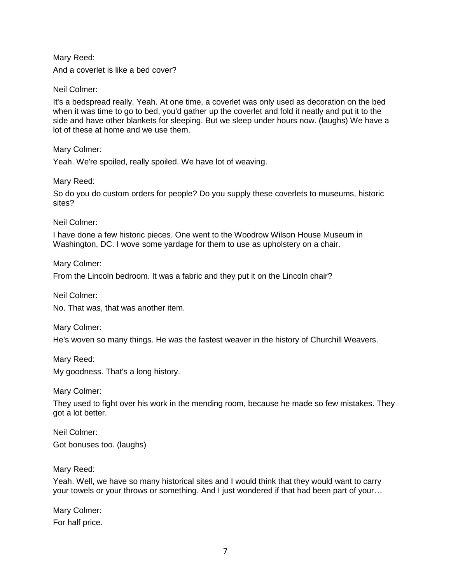Mary Reed:

And a coverlet is like a bed cover?

Neil Colmer:

It's a bedspread really. Yeah. At one time, a coverlet was only used as decoration on the bed when it was time to go to bed, you'd gather up the coverlet and fold it neatly and put it to the side and have other blankets for sleeping. But we sleep under hours now. (laughs) We have a lot of these at home and we use them.

Mary Colmer:

Yeah. We're spoiled, really spoiled. We have lot of weaving.

Mary Reed:

So do you do custom orders for people? Do you supply these coverlets to museums, historic sites?

Neil Colmer:

I have done a few historic pieces. One went to the Woodrow Wilson House Museum in Washington, DC. I wove some yardage for them to use as upholstery on a chair.

Mary Colmer:

From the Lincoln bedroom. It was a fabric and they put it on the Lincoln chair?

Neil Colmer:

No. That was, that was another item.

Mary Colmer:

He's woven so many things. He was the fastest weaver in the history of Churchill Weavers.

Mary Reed:

My goodness. That's a long history.

Mary Colmer:

They used to fight over his work in the mending room, because he made so few mistakes. They got a lot better.

Neil Colmer:

Got bonuses too. (laughs)

Mary Reed:

Yeah. Well, we have so many historical sites and I would think that they would want to carry your towels or your throws or something. And I just wondered if that had been part of your…

Mary Colmer: For half price.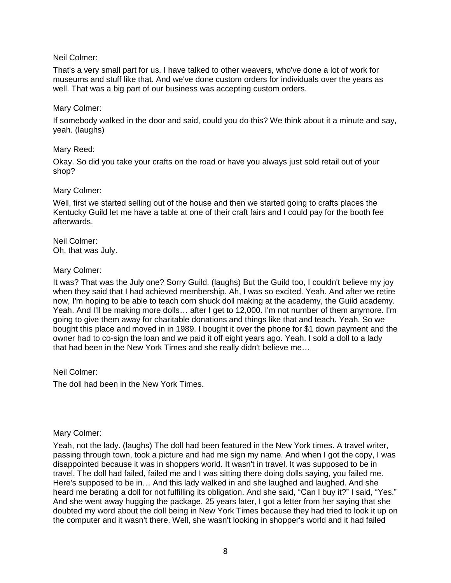# Neil Colmer:

That's a very small part for us. I have talked to other weavers, who've done a lot of work for museums and stuff like that. And we've done custom orders for individuals over the years as well. That was a big part of our business was accepting custom orders.

## Mary Colmer:

If somebody walked in the door and said, could you do this? We think about it a minute and say, yeah. (laughs)

#### Mary Reed:

Okay. So did you take your crafts on the road or have you always just sold retail out of your shop?

## Mary Colmer:

Well, first we started selling out of the house and then we started going to crafts places the Kentucky Guild let me have a table at one of their craft fairs and I could pay for the booth fee afterwards.

Neil Colmer: Oh, that was July.

## Mary Colmer:

It was? That was the July one? Sorry Guild. (laughs) But the Guild too, I couldn't believe my joy when they said that I had achieved membership. Ah, I was so excited. Yeah. And after we retire now, I'm hoping to be able to teach corn shuck doll making at the academy, the Guild academy. Yeah. And I'll be making more dolls… after I get to 12,000. I'm not number of them anymore. I'm going to give them away for charitable donations and things like that and teach. Yeah. So we bought this place and moved in in 1989. I bought it over the phone for \$1 down payment and the owner had to co-sign the loan and we paid it off eight years ago. Yeah. I sold a doll to a lady that had been in the New York Times and she really didn't believe me…

Neil Colmer:

The doll had been in the New York Times.

#### Mary Colmer:

Yeah, not the lady. (laughs) The doll had been featured in the New York times. A travel writer, passing through town, took a picture and had me sign my name. And when I got the copy, I was disappointed because it was in shoppers world. It wasn't in travel. It was supposed to be in travel. The doll had failed, failed me and I was sitting there doing dolls saying, you failed me. Here's supposed to be in… And this lady walked in and she laughed and laughed. And she heard me berating a doll for not fulfilling its obligation. And she said, "Can I buy it?" I said, "Yes." And she went away hugging the package. 25 years later, I got a letter from her saying that she doubted my word about the doll being in New York Times because they had tried to look it up on the computer and it wasn't there. Well, she wasn't looking in shopper's world and it had failed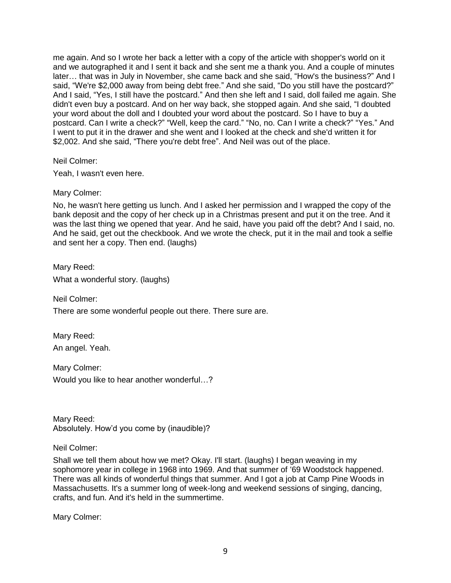me again. And so I wrote her back a letter with a copy of the article with shopper's world on it and we autographed it and I sent it back and she sent me a thank you. And a couple of minutes later… that was in July in November, she came back and she said, "How's the business?" And I said, "We're \$2,000 away from being debt free." And she said, "Do you still have the postcard?" And I said, "Yes, I still have the postcard." And then she left and I said, doll failed me again. She didn't even buy a postcard. And on her way back, she stopped again. And she said, "I doubted your word about the doll and I doubted your word about the postcard. So I have to buy a postcard. Can I write a check?" "Well, keep the card." "No, no. Can I write a check?" "Yes." And I went to put it in the drawer and she went and I looked at the check and she'd written it for \$2,002. And she said, "There you're debt free". And Neil was out of the place.

Neil Colmer:

Yeah, I wasn't even here.

Mary Colmer:

No, he wasn't here getting us lunch. And I asked her permission and I wrapped the copy of the bank deposit and the copy of her check up in a Christmas present and put it on the tree. And it was the last thing we opened that year. And he said, have you paid off the debt? And I said, no. And he said, get out the checkbook. And we wrote the check, put it in the mail and took a selfie and sent her a copy. Then end. (laughs)

Mary Reed: What a wonderful story. (laughs)

Neil Colmer:

There are some wonderful people out there. There sure are.

Mary Reed: An angel. Yeah.

Mary Colmer: Would you like to hear another wonderful…?

Mary Reed: Absolutely. How'd you come by (inaudible)?

Neil Colmer:

Shall we tell them about how we met? Okay. I'll start. (laughs) I began weaving in my sophomore year in college in 1968 into 1969. And that summer of '69 Woodstock happened. There was all kinds of wonderful things that summer. And I got a job at Camp Pine Woods in Massachusetts. It's a summer long of week-long and weekend sessions of singing, dancing, crafts, and fun. And it's held in the summertime.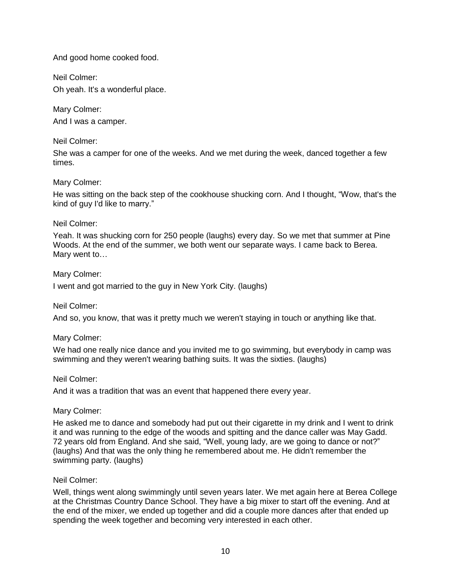And good home cooked food.

Neil Colmer: Oh yeah. It's a wonderful place.

Mary Colmer: And I was a camper.

Neil Colmer:

She was a camper for one of the weeks. And we met during the week, danced together a few times.

# Mary Colmer:

He was sitting on the back step of the cookhouse shucking corn. And I thought, "Wow, that's the kind of guy I'd like to marry."

# Neil Colmer:

Yeah. It was shucking corn for 250 people (laughs) every day. So we met that summer at Pine Woods. At the end of the summer, we both went our separate ways. I came back to Berea. Mary went to…

Mary Colmer:

I went and got married to the guy in New York City. (laughs)

Neil Colmer:

And so, you know, that was it pretty much we weren't staying in touch or anything like that.

# Mary Colmer:

We had one really nice dance and you invited me to go swimming, but everybody in camp was swimming and they weren't wearing bathing suits. It was the sixties. (laughs)

# Neil Colmer:

And it was a tradition that was an event that happened there every year.

Mary Colmer:

He asked me to dance and somebody had put out their cigarette in my drink and I went to drink it and was running to the edge of the woods and spitting and the dance caller was May Gadd. 72 years old from England. And she said, "Well, young lady, are we going to dance or not?" (laughs) And that was the only thing he remembered about me. He didn't remember the swimming party. (laughs)

# Neil Colmer:

Well, things went along swimmingly until seven years later. We met again here at Berea College at the Christmas Country Dance School. They have a big mixer to start off the evening. And at the end of the mixer, we ended up together and did a couple more dances after that ended up spending the week together and becoming very interested in each other.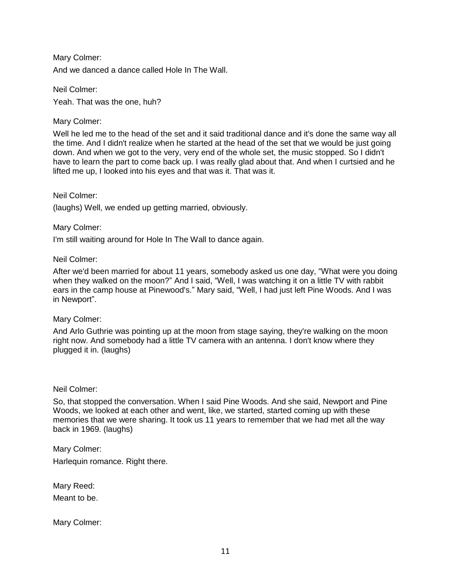Mary Colmer: And we danced a dance called Hole In The Wall.

Neil Colmer: Yeah. That was the one, huh?

# Mary Colmer:

Well he led me to the head of the set and it said traditional dance and it's done the same way all the time. And I didn't realize when he started at the head of the set that we would be just going down. And when we got to the very, very end of the whole set, the music stopped. So I didn't have to learn the part to come back up. I was really glad about that. And when I curtsied and he lifted me up, I looked into his eyes and that was it. That was it.

#### Neil Colmer:

(laughs) Well, we ended up getting married, obviously.

#### Mary Colmer:

I'm still waiting around for Hole In The Wall to dance again.

#### Neil Colmer:

After we'd been married for about 11 years, somebody asked us one day, "What were you doing when they walked on the moon?" And I said, "Well, I was watching it on a little TV with rabbit ears in the camp house at Pinewood's." Mary said, "Well, I had just left Pine Woods. And I was in Newport".

#### Mary Colmer:

And Arlo Guthrie was pointing up at the moon from stage saying, they're walking on the moon right now. And somebody had a little TV camera with an antenna. I don't know where they plugged it in. (laughs)

#### Neil Colmer:

So, that stopped the conversation. When I said Pine Woods. And she said, Newport and Pine Woods, we looked at each other and went, like, we started, started coming up with these memories that we were sharing. It took us 11 years to remember that we had met all the way back in 1969. (laughs)

Mary Colmer:

Harlequin romance. Right there.

Mary Reed: Meant to be.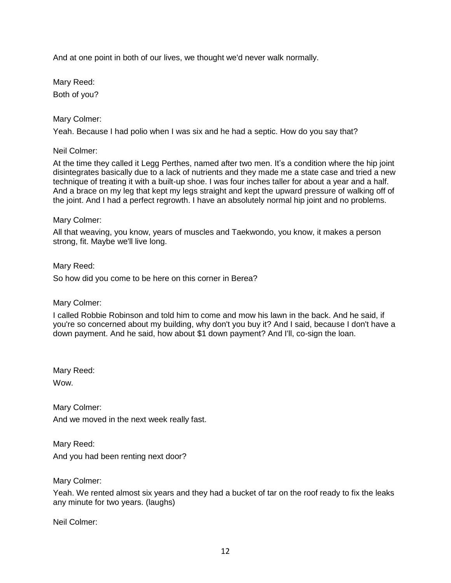And at one point in both of our lives, we thought we'd never walk normally.

Mary Reed: Both of you?

Mary Colmer:

Yeah. Because I had polio when I was six and he had a septic. How do you say that?

Neil Colmer:

At the time they called it Legg Perthes, named after two men. It's a condition where the hip joint disintegrates basically due to a lack of nutrients and they made me a state case and tried a new technique of treating it with a built-up shoe. I was four inches taller for about a year and a half. And a brace on my leg that kept my legs straight and kept the upward pressure of walking off of the joint. And I had a perfect regrowth. I have an absolutely normal hip joint and no problems.

# Mary Colmer:

All that weaving, you know, years of muscles and Taekwondo, you know, it makes a person strong, fit. Maybe we'll live long.

Mary Reed: So how did you come to be here on this corner in Berea?

Mary Colmer:

I called Robbie Robinson and told him to come and mow his lawn in the back. And he said, if you're so concerned about my building, why don't you buy it? And I said, because I don't have a down payment. And he said, how about \$1 down payment? And I'll, co-sign the loan.

Mary Reed: Wow.

Mary Colmer: And we moved in the next week really fast.

Mary Reed: And you had been renting next door?

Mary Colmer:

Yeah. We rented almost six years and they had a bucket of tar on the roof ready to fix the leaks any minute for two years. (laughs)

Neil Colmer: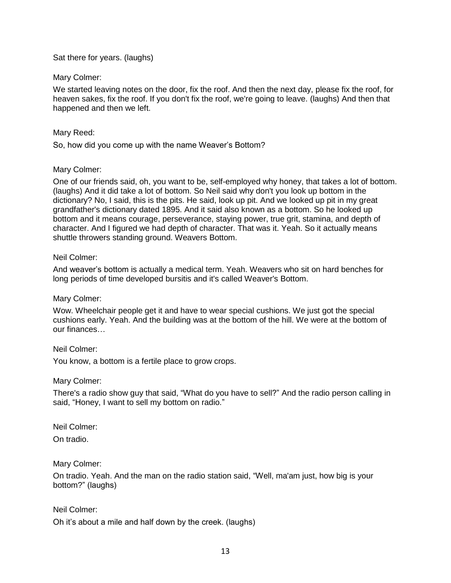Sat there for years. (laughs)

## Mary Colmer:

We started leaving notes on the door, fix the roof. And then the next day, please fix the roof, for heaven sakes, fix the roof. If you don't fix the roof, we're going to leave. (laughs) And then that happened and then we left.

## Mary Reed:

So, how did you come up with the name Weaver's Bottom?

## Mary Colmer:

One of our friends said, oh, you want to be, self-employed why honey, that takes a lot of bottom. (laughs) And it did take a lot of bottom. So Neil said why don't you look up bottom in the dictionary? No, I said, this is the pits. He said, look up pit. And we looked up pit in my great grandfather's dictionary dated 1895. And it said also known as a bottom. So he looked up bottom and it means courage, perseverance, staying power, true grit, stamina, and depth of character. And I figured we had depth of character. That was it. Yeah. So it actually means shuttle throwers standing ground. Weavers Bottom.

## Neil Colmer:

And weaver's bottom is actually a medical term. Yeah. Weavers who sit on hard benches for long periods of time developed bursitis and it's called Weaver's Bottom.

#### Mary Colmer:

Wow. Wheelchair people get it and have to wear special cushions. We just got the special cushions early. Yeah. And the building was at the bottom of the hill. We were at the bottom of our finances…

#### Neil Colmer:

You know, a bottom is a fertile place to grow crops.

#### Mary Colmer:

There's a radio show guy that said, "What do you have to sell?" And the radio person calling in said, "Honey, I want to sell my bottom on radio."

Neil Colmer:

On tradio.

#### Mary Colmer:

On tradio. Yeah. And the man on the radio station said, "Well, ma'am just, how big is your bottom?" (laughs)

# Neil Colmer:

Oh it's about a mile and half down by the creek. (laughs)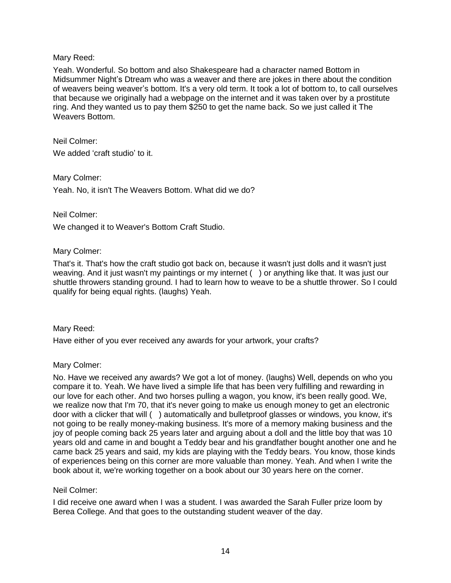# Mary Reed:

Yeah. Wonderful. So bottom and also Shakespeare had a character named Bottom in Midsummer Night's Dtream who was a weaver and there are jokes in there about the condition of weavers being weaver's bottom. It's a very old term. It took a lot of bottom to, to call ourselves that because we originally had a webpage on the internet and it was taken over by a prostitute ring. And they wanted us to pay them \$250 to get the name back. So we just called it The Weavers Bottom.

Neil Colmer: We added 'craft studio' to it.

Mary Colmer:

Yeah. No, it isn't The Weavers Bottom. What did we do?

# Neil Colmer:

We changed it to Weaver's Bottom Craft Studio.

## Mary Colmer:

That's it. That's how the craft studio got back on, because it wasn't just dolls and it wasn't just weaving. And it just wasn't my paintings or my internet () or anything like that. It was just our shuttle throwers standing ground. I had to learn how to weave to be a shuttle thrower. So I could qualify for being equal rights. (laughs) Yeah.

#### Mary Reed:

Have either of you ever received any awards for your artwork, your crafts?

#### Mary Colmer:

No. Have we received any awards? We got a lot of money. (laughs) Well, depends on who you compare it to. Yeah. We have lived a simple life that has been very fulfilling and rewarding in our love for each other. And two horses pulling a wagon, you know, it's been really good. We, we realize now that I'm 70, that it's never going to make us enough money to get an electronic door with a clicker that will ( ) automatically and bulletproof glasses or windows, you know, it's not going to be really money-making business. It's more of a memory making business and the joy of people coming back 25 years later and arguing about a doll and the little boy that was 10 years old and came in and bought a Teddy bear and his grandfather bought another one and he came back 25 years and said, my kids are playing with the Teddy bears. You know, those kinds of experiences being on this corner are more valuable than money. Yeah. And when I write the book about it, we're working together on a book about our 30 years here on the corner.

#### Neil Colmer:

I did receive one award when I was a student. I was awarded the Sarah Fuller prize loom by Berea College. And that goes to the outstanding student weaver of the day.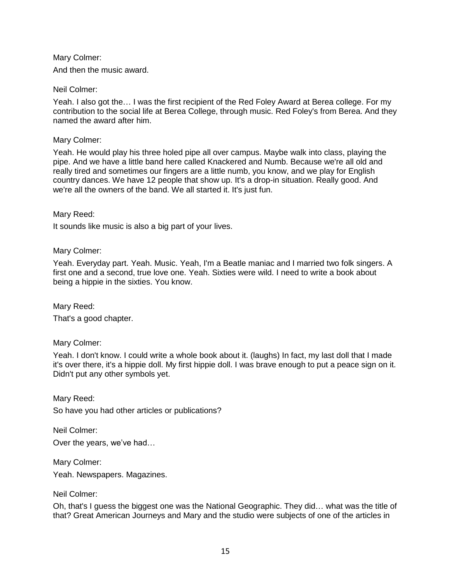Mary Colmer: And then the music award.

Neil Colmer:

Yeah. I also got the… I was the first recipient of the Red Foley Award at Berea college. For my contribution to the social life at Berea College, through music. Red Foley's from Berea. And they named the award after him.

Mary Colmer:

Yeah. He would play his three holed pipe all over campus. Maybe walk into class, playing the pipe. And we have a little band here called Knackered and Numb. Because we're all old and really tired and sometimes our fingers are a little numb, you know, and we play for English country dances. We have 12 people that show up. It's a drop-in situation. Really good. And we're all the owners of the band. We all started it. It's just fun.

Mary Reed:

It sounds like music is also a big part of your lives.

Mary Colmer:

Yeah. Everyday part. Yeah. Music. Yeah, I'm a Beatle maniac and I married two folk singers. A first one and a second, true love one. Yeah. Sixties were wild. I need to write a book about being a hippie in the sixties. You know.

Mary Reed:

That's a good chapter.

Mary Colmer:

Yeah. I don't know. I could write a whole book about it. (laughs) In fact, my last doll that I made it's over there, it's a hippie doll. My first hippie doll. I was brave enough to put a peace sign on it. Didn't put any other symbols yet.

Mary Reed: So have you had other articles or publications?

Neil Colmer: Over the years, we've had…

Mary Colmer:

Yeah. Newspapers. Magazines.

Neil Colmer:

Oh, that's I guess the biggest one was the National Geographic. They did… what was the title of that? Great American Journeys and Mary and the studio were subjects of one of the articles in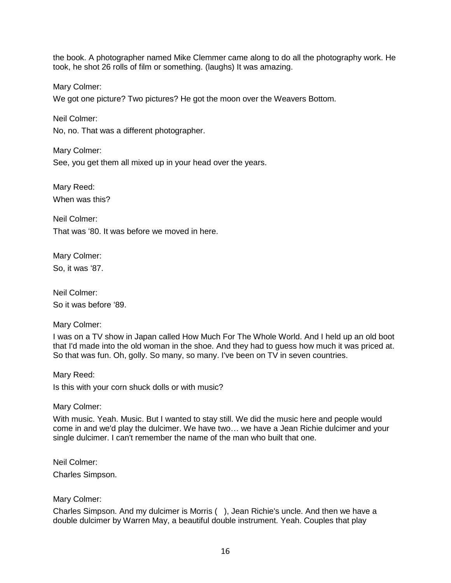the book. A photographer named Mike Clemmer came along to do all the photography work. He took, he shot 26 rolls of film or something. (laughs) It was amazing.

Mary Colmer:

We got one picture? Two pictures? He got the moon over the Weavers Bottom.

Neil Colmer:

No, no. That was a different photographer.

Mary Colmer: See, you get them all mixed up in your head over the years.

Mary Reed: When was this?

Neil Colmer: That was '80. It was before we moved in here.

Mary Colmer: So, it was '87.

Neil Colmer: So it was before '89.

Mary Colmer:

I was on a TV show in Japan called How Much For The Whole World. And I held up an old boot that I'd made into the old woman in the shoe. And they had to guess how much it was priced at. So that was fun. Oh, golly. So many, so many. I've been on TV in seven countries.

Mary Reed: Is this with your corn shuck dolls or with music?

Mary Colmer:

With music. Yeah. Music. But I wanted to stay still. We did the music here and people would come in and we'd play the dulcimer. We have two… we have a Jean Richie dulcimer and your single dulcimer. I can't remember the name of the man who built that one.

Neil Colmer:

Charles Simpson.

# Mary Colmer:

Charles Simpson. And my dulcimer is Morris ( ), Jean Richie's uncle. And then we have a double dulcimer by Warren May, a beautiful double instrument. Yeah. Couples that play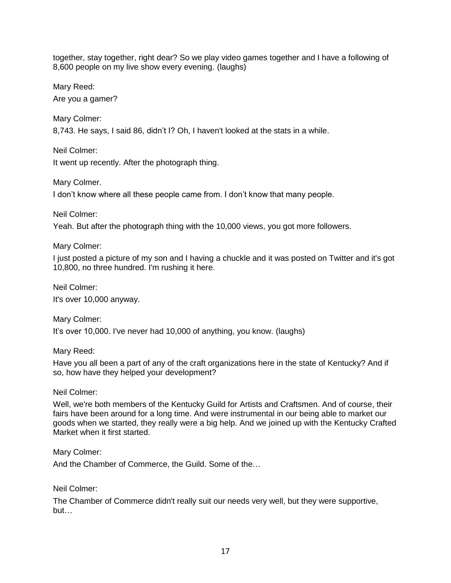together, stay together, right dear? So we play video games together and I have a following of 8,600 people on my live show every evening. (laughs)

Mary Reed:

Are you a gamer?

Mary Colmer:

8,743. He says, I said 86, didn't I? Oh, I haven't looked at the stats in a while.

Neil Colmer: It went up recently. After the photograph thing.

Mary Colmer.

I don't know where all these people came from. I don't know that many people.

Neil Colmer:

Yeah. But after the photograph thing with the 10,000 views, you got more followers.

Mary Colmer:

I just posted a picture of my son and I having a chuckle and it was posted on Twitter and it's got 10,800, no three hundred. I'm rushing it here.

Neil Colmer:

It's over 10,000 anyway.

Mary Colmer: It's over 10,000. I've never had 10,000 of anything, you know. (laughs)

Mary Reed:

Have you all been a part of any of the craft organizations here in the state of Kentucky? And if so, how have they helped your development?

# Neil Colmer:

Well, we're both members of the Kentucky Guild for Artists and Craftsmen. And of course, their fairs have been around for a long time. And were instrumental in our being able to market our goods when we started, they really were a big help. And we joined up with the Kentucky Crafted Market when it first started.

Mary Colmer:

And the Chamber of Commerce, the Guild. Some of the…

Neil Colmer:

The Chamber of Commerce didn't really suit our needs very well, but they were supportive, but…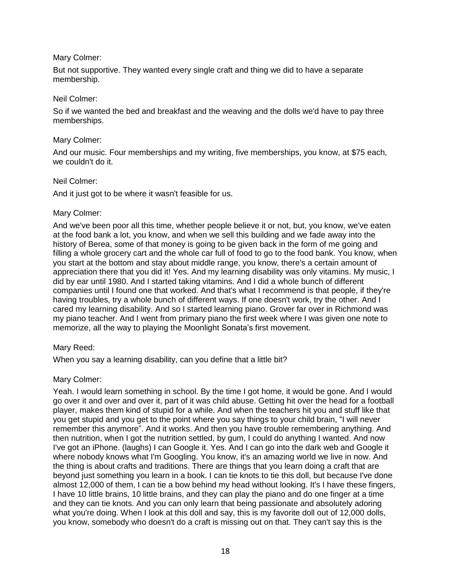# Mary Colmer:

But not supportive. They wanted every single craft and thing we did to have a separate membership.

#### Neil Colmer:

So if we wanted the bed and breakfast and the weaving and the dolls we'd have to pay three memberships.

## Mary Colmer:

And our music. Four memberships and my writing, five memberships, you know, at \$75 each, we couldn't do it.

## Neil Colmer:

And it just got to be where it wasn't feasible for us.

## Mary Colmer:

And we've been poor all this time, whether people believe it or not, but, you know, we've eaten at the food bank a lot, you know, and when we sell this building and we fade away into the history of Berea, some of that money is going to be given back in the form of me going and filling a whole grocery cart and the whole car full of food to go to the food bank. You know, when you start at the bottom and stay about middle range, you know, there's a certain amount of appreciation there that you did it! Yes. And my learning disability was only vitamins. My music, I did by ear until 1980. And I started taking vitamins. And I did a whole bunch of different companies until I found one that worked. And that's what I recommend is that people, if they're having troubles, try a whole bunch of different ways. If one doesn't work, try the other. And I cared my learning disability. And so I started learning piano. Grover far over in Richmond was my piano teacher. And I went from primary piano the first week where I was given one note to memorize, all the way to playing the Moonlight Sonata's first movement.

#### Mary Reed:

When you say a learning disability, can you define that a little bit?

# Mary Colmer:

Yeah. I would learn something in school. By the time I got home, it would be gone. And I would go over it and over and over it, part of it was child abuse. Getting hit over the head for a football player, makes them kind of stupid for a while. And when the teachers hit you and stuff like that you get stupid and you get to the point where you say things to your child brain, "I will never remember this anymore". And it works. And then you have trouble remembering anything. And then nutrition, when I got the nutrition settled, by gum, I could do anything I wanted. And now I've got an iPhone. (laughs) I can Google it. Yes. And I can go into the dark web and Google it where nobody knows what I'm Googling. You know, it's an amazing world we live in now. And the thing is about crafts and traditions. There are things that you learn doing a craft that are beyond just something you learn in a book. I can tie knots to tie this doll, but because I've done almost 12,000 of them, I can tie a bow behind my head without looking. It's I have these fingers, I have 10 little brains, 10 little brains, and they can play the piano and do one finger at a time and they can tie knots. And you can only learn that being passionate and absolutely adoring what you're doing. When I look at this doll and say, this is my favorite doll out of 12,000 dolls, you know, somebody who doesn't do a craft is missing out on that. They can't say this is the